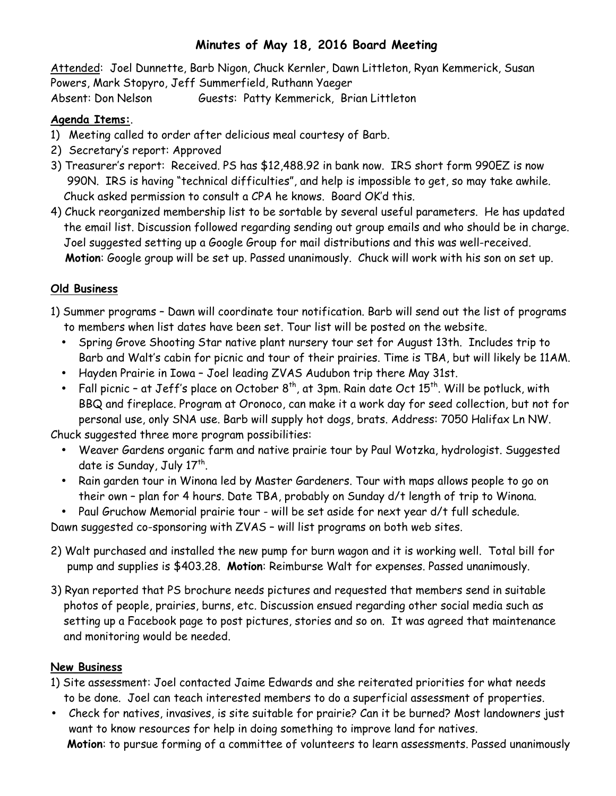## **Minutes of May 18, 2016 Board Meeting**

Attended: Joel Dunnette, Barb Nigon, Chuck Kernler, Dawn Littleton, Ryan Kemmerick, Susan Powers, Mark Stopyro, Jeff Summerfield, Ruthann Yaeger

Absent: Don Nelson Guests: Patty Kemmerick, Brian Littleton

## **Agenda Items:**.

- 1) Meeting called to order after delicious meal courtesy of Barb.
- 2) Secretary's report: Approved
- 3) Treasurer's report: Received. PS has \$12,488.92 in bank now. IRS short form 990EZ is now 990N. IRS is having "technical difficulties", and help is impossible to get, so may take awhile. Chuck asked permission to consult a CPA he knows. Board OK'd this.
- 4) Chuck reorganized membership list to be sortable by several useful parameters. He has updated the email list. Discussion followed regarding sending out group emails and who should be in charge. Joel suggested setting up a Google Group for mail distributions and this was well-received.  **Motion**: Google group will be set up. Passed unanimously. Chuck will work with his son on set up.

## **Old Business**

- 1) Summer programs Dawn will coordinate tour notification. Barb will send out the list of programs to members when list dates have been set. Tour list will be posted on the website.
	- Spring Grove Shooting Star native plant nursery tour set for August 13th. Includes trip to Barb and Walt's cabin for picnic and tour of their prairies. Time is TBA, but will likely be 11AM.
	- Hayden Prairie in Iowa Joel leading ZVAS Audubon trip there May 31st.
	- Fall picnic at Jeff's place on October  $8<sup>th</sup>$ , at 3pm. Rain date Oct  $15<sup>th</sup>$ . Will be potluck, with BBQ and fireplace. Program at Oronoco, can make it a work day for seed collection, but not for personal use, only SNA use. Barb will supply hot dogs, brats. Address: 7050 Halifax Ln NW.

Chuck suggested three more program possibilities:

- Weaver Gardens organic farm and native prairie tour by Paul Wotzka, hydrologist. Suggested date is Sunday, July  $17<sup>th</sup>$ .
- Rain garden tour in Winona led by Master Gardeners. Tour with maps allows people to go on their own – plan for 4 hours. Date TBA, probably on Sunday d/t length of trip to Winona.

• Paul Gruchow Memorial prairie tour - will be set aside for next year d/t full schedule.

Dawn suggested co-sponsoring with ZVAS – will list programs on both web sites.

- 2) Walt purchased and installed the new pump for burn wagon and it is working well. Total bill for pump and supplies is \$403.28. **Motion**: Reimburse Walt for expenses. Passed unanimously.
- 3) Ryan reported that PS brochure needs pictures and requested that members send in suitable photos of people, prairies, burns, etc. Discussion ensued regarding other social media such as setting up a Facebook page to post pictures, stories and so on. It was agreed that maintenance and monitoring would be needed.

## **New Business**

- 1) Site assessment: Joel contacted Jaime Edwards and she reiterated priorities for what needs to be done. Joel can teach interested members to do a superficial assessment of properties.
- Check for natives, invasives, is site suitable for prairie? Can it be burned? Most landowners just want to know resources for help in doing something to improve land for natives. **Motion**: to pursue forming of a committee of volunteers to learn assessments. Passed unanimously